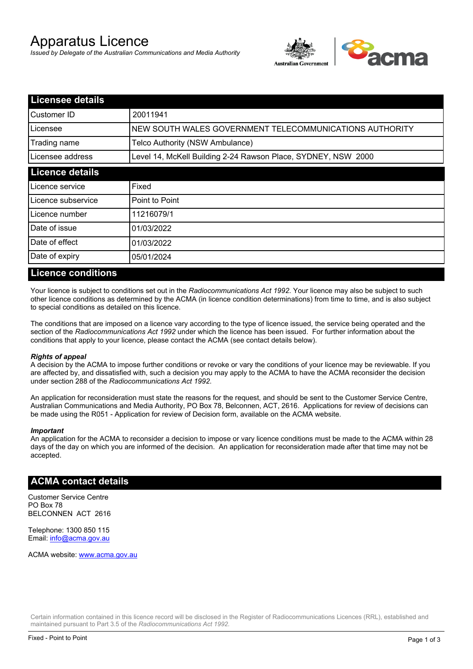# Apparatus Licence

*Issued by Delegate of the Australian Communications and Media Authority*



| <b>Licensee details</b> |                                                               |  |
|-------------------------|---------------------------------------------------------------|--|
| Customer ID             | 20011941                                                      |  |
| Licensee                | NEW SOUTH WALES GOVERNMENT TELECOMMUNICATIONS AUTHORITY       |  |
| Trading name            | Telco Authority (NSW Ambulance)                               |  |
| Licensee address        | Level 14, McKell Building 2-24 Rawson Place, SYDNEY, NSW 2000 |  |
| <b>Licence details</b>  |                                                               |  |
| Licence service         | Fixed                                                         |  |
| Licence subservice      | Point to Point                                                |  |
| Licence number          | 11216079/1                                                    |  |
| Date of issue           | 01/03/2022                                                    |  |
| <b>IDate of effect</b>  | 01/03/2022                                                    |  |
| Date of expiry          | 05/01/2024                                                    |  |

#### **Licence conditions**

Your licence is subject to conditions set out in the *Radiocommunications Act 1992*. Your licence may also be subject to such other licence conditions as determined by the ACMA (in licence condition determinations) from time to time, and is also subject to special conditions as detailed on this licence.

The conditions that are imposed on a licence vary according to the type of licence issued, the service being operated and the section of the *Radiocommunications Act 1992* under which the licence has been issued. For further information about the conditions that apply to your licence, please contact the ACMA (see contact details below).

#### *Rights of appeal*

A decision by the ACMA to impose further conditions or revoke or vary the conditions of your licence may be reviewable. If you are affected by, and dissatisfied with, such a decision you may apply to the ACMA to have the ACMA reconsider the decision under section 288 of the *Radiocommunications Act 1992*.

An application for reconsideration must state the reasons for the request, and should be sent to the Customer Service Centre, Australian Communications and Media Authority, PO Box 78, Belconnen, ACT, 2616. Applications for review of decisions can be made using the R051 - Application for review of Decision form, available on the ACMA website.

#### *Important*

An application for the ACMA to reconsider a decision to impose or vary licence conditions must be made to the ACMA within 28 days of the day on which you are informed of the decision. An application for reconsideration made after that time may not be accepted.

#### **ACMA contact details**

Customer Service Centre PO Box 78 BELCONNEN ACT 2616

Telephone: 1300 850 115 Email: info@acma.gov.au

ACMA website: www.acma.gov.au

Certain information contained in this licence record will be disclosed in the Register of Radiocommunications Licences (RRL), established and maintained pursuant to Part 3.5 of the *Radiocommunications Act 1992.*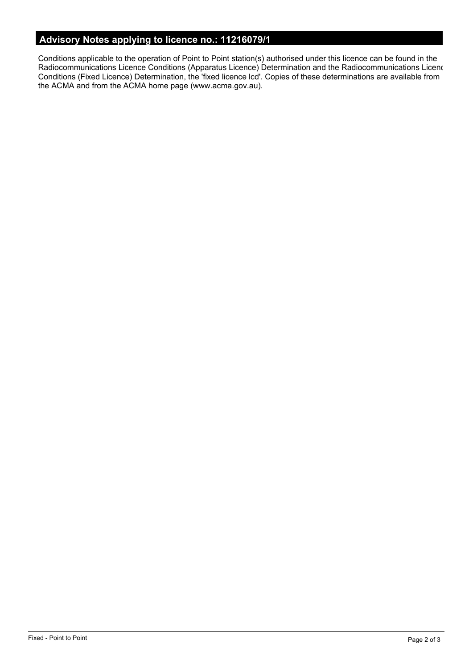# **Advisory Notes applying to licence no.: 11216079/1**

Conditions applicable to the operation of Point to Point station(s) authorised under this licence can be found in the Radiocommunications Licence Conditions (Apparatus Licence) Determination and the Radiocommunications Licence Conditions (Fixed Licence) Determination, the 'fixed licence lcd'. Copies of these determinations are available from the ACMA and from the ACMA home page (www.acma.gov.au).